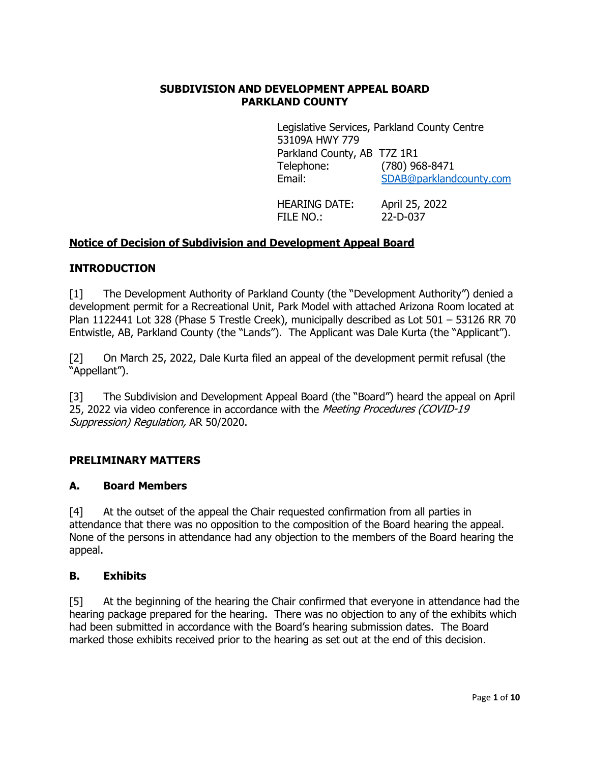### **SUBDIVISION AND DEVELOPMENT APPEAL BOARD PARKLAND COUNTY**

Legislative Services, Parkland County Centre 53109A HWY 779 Parkland County, AB T7Z 1R1 Telephone: (780) 968-8471 Email: [SDAB@parklandcounty.com](mailto:SDAB@parklandcounty.com)

HEARING DATE: April 25, 2022 FILE NO.: 22-D-037

## **Notice of Decision of Subdivision and Development Appeal Board**

#### **INTRODUCTION**

[1] The Development Authority of Parkland County (the "Development Authority") denied a development permit for a Recreational Unit, Park Model with attached Arizona Room located at Plan 1122441 Lot 328 (Phase 5 Trestle Creek), municipally described as Lot 501 – 53126 RR 70 Entwistle, AB, Parkland County (the "Lands"). The Applicant was Dale Kurta (the "Applicant").

[2] On March 25, 2022, Dale Kurta filed an appeal of the development permit refusal (the "Appellant").

[3] The Subdivision and Development Appeal Board (the "Board") heard the appeal on April 25, 2022 via video conference in accordance with the Meeting Procedures (COVID-19 Suppression) Regulation, AR 50/2020.

#### **PRELIMINARY MATTERS**

#### **A. Board Members**

[4] At the outset of the appeal the Chair requested confirmation from all parties in attendance that there was no opposition to the composition of the Board hearing the appeal. None of the persons in attendance had any objection to the members of the Board hearing the appeal.

#### **B. Exhibits**

[5] At the beginning of the hearing the Chair confirmed that everyone in attendance had the hearing package prepared for the hearing. There was no objection to any of the exhibits which had been submitted in accordance with the Board's hearing submission dates. The Board marked those exhibits received prior to the hearing as set out at the end of this decision.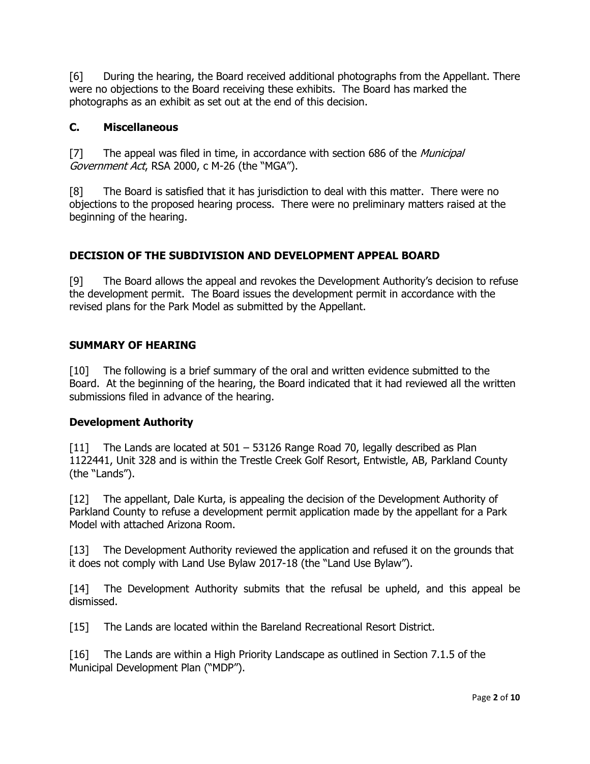[6] During the hearing, the Board received additional photographs from the Appellant. There were no objections to the Board receiving these exhibits. The Board has marked the photographs as an exhibit as set out at the end of this decision.

### **C. Miscellaneous**

[7] The appeal was filed in time, in accordance with section 686 of the *Municipal* Government Act, RSA 2000, c M-26 (the "MGA").

[8] The Board is satisfied that it has jurisdiction to deal with this matter. There were no objections to the proposed hearing process. There were no preliminary matters raised at the beginning of the hearing.

### **DECISION OF THE SUBDIVISION AND DEVELOPMENT APPEAL BOARD**

[9] The Board allows the appeal and revokes the Development Authority's decision to refuse the development permit. The Board issues the development permit in accordance with the revised plans for the Park Model as submitted by the Appellant.

### **SUMMARY OF HEARING**

[10] The following is a brief summary of the oral and written evidence submitted to the Board. At the beginning of the hearing, the Board indicated that it had reviewed all the written submissions filed in advance of the hearing.

#### **Development Authority**

[11] The Lands are located at 501 – 53126 Range Road 70, legally described as Plan 1122441, Unit 328 and is within the Trestle Creek Golf Resort, Entwistle, AB, Parkland County (the "Lands").

[12] The appellant, Dale Kurta, is appealing the decision of the Development Authority of Parkland County to refuse a development permit application made by the appellant for a Park Model with attached Arizona Room.

[13] The Development Authority reviewed the application and refused it on the grounds that it does not comply with Land Use Bylaw 2017-18 (the "Land Use Bylaw").

[14] The Development Authority submits that the refusal be upheld, and this appeal be dismissed.

[15] The Lands are located within the Bareland Recreational Resort District.

[16] The Lands are within a High Priority Landscape as outlined in Section 7.1.5 of the Municipal Development Plan ("MDP").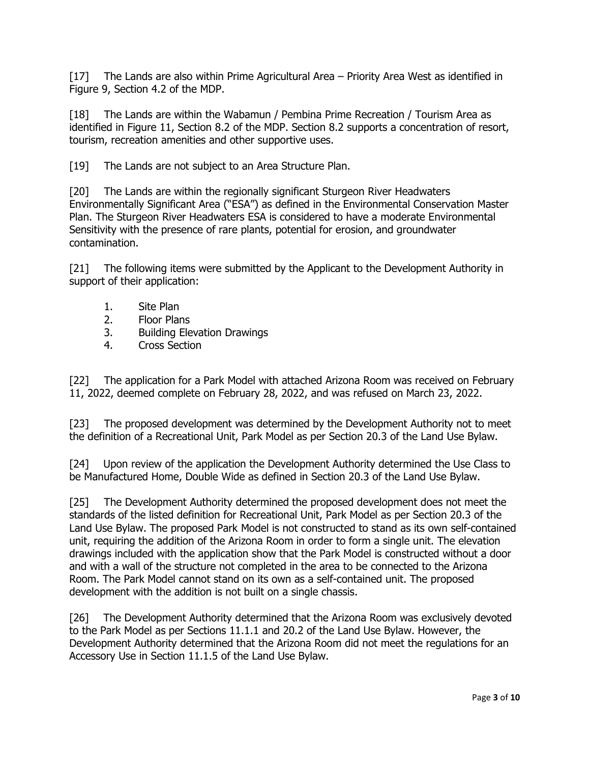[17] The Lands are also within Prime Agricultural Area – Priority Area West as identified in Figure 9, Section 4.2 of the MDP.

[18] The Lands are within the Wabamun / Pembina Prime Recreation / Tourism Area as identified in Figure 11, Section 8.2 of the MDP. Section 8.2 supports a concentration of resort, tourism, recreation amenities and other supportive uses.

[19] The Lands are not subject to an Area Structure Plan.

[20] The Lands are within the regionally significant Sturgeon River Headwaters Environmentally Significant Area ("ESA") as defined in the Environmental Conservation Master Plan. The Sturgeon River Headwaters ESA is considered to have a moderate Environmental Sensitivity with the presence of rare plants, potential for erosion, and groundwater contamination.

[21] The following items were submitted by the Applicant to the Development Authority in support of their application:

- 1. Site Plan
- 2. Floor Plans
- 3. Building Elevation Drawings<br>4. Cross Section
- 4. Cross Section

[22] The application for a Park Model with attached Arizona Room was received on February 11, 2022, deemed complete on February 28, 2022, and was refused on March 23, 2022.

[23] The proposed development was determined by the Development Authority not to meet the definition of a Recreational Unit, Park Model as per Section 20.3 of the Land Use Bylaw.

[24] Upon review of the application the Development Authority determined the Use Class to be Manufactured Home, Double Wide as defined in Section 20.3 of the Land Use Bylaw.

[25] The Development Authority determined the proposed development does not meet the standards of the listed definition for Recreational Unit, Park Model as per Section 20.3 of the Land Use Bylaw. The proposed Park Model is not constructed to stand as its own self-contained unit, requiring the addition of the Arizona Room in order to form a single unit. The elevation drawings included with the application show that the Park Model is constructed without a door and with a wall of the structure not completed in the area to be connected to the Arizona Room. The Park Model cannot stand on its own as a self-contained unit. The proposed development with the addition is not built on a single chassis.

[26] The Development Authority determined that the Arizona Room was exclusively devoted to the Park Model as per Sections 11.1.1 and 20.2 of the Land Use Bylaw. However, the Development Authority determined that the Arizona Room did not meet the regulations for an Accessory Use in Section 11.1.5 of the Land Use Bylaw.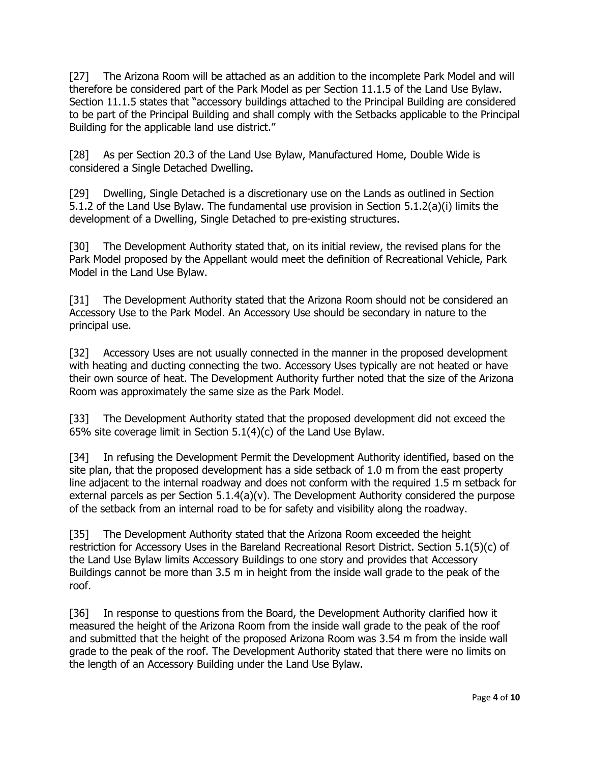[27] The Arizona Room will be attached as an addition to the incomplete Park Model and will therefore be considered part of the Park Model as per Section 11.1.5 of the Land Use Bylaw. Section 11.1.5 states that "accessory buildings attached to the Principal Building are considered to be part of the Principal Building and shall comply with the Setbacks applicable to the Principal Building for the applicable land use district."

[28] As per Section 20.3 of the Land Use Bylaw, Manufactured Home, Double Wide is considered a Single Detached Dwelling.

[29] Dwelling, Single Detached is a discretionary use on the Lands as outlined in Section 5.1.2 of the Land Use Bylaw. The fundamental use provision in Section 5.1.2(a)(i) limits the development of a Dwelling, Single Detached to pre-existing structures.

[30] The Development Authority stated that, on its initial review, the revised plans for the Park Model proposed by the Appellant would meet the definition of Recreational Vehicle, Park Model in the Land Use Bylaw.

[31] The Development Authority stated that the Arizona Room should not be considered an Accessory Use to the Park Model. An Accessory Use should be secondary in nature to the principal use.

[32] Accessory Uses are not usually connected in the manner in the proposed development with heating and ducting connecting the two. Accessory Uses typically are not heated or have their own source of heat. The Development Authority further noted that the size of the Arizona Room was approximately the same size as the Park Model.

[33] The Development Authority stated that the proposed development did not exceed the 65% site coverage limit in Section 5.1(4)(c) of the Land Use Bylaw.

[34] In refusing the Development Permit the Development Authority identified, based on the site plan, that the proposed development has a side setback of 1.0 m from the east property line adjacent to the internal roadway and does not conform with the required 1.5 m setback for external parcels as per Section 5.1.4(a)(v). The Development Authority considered the purpose of the setback from an internal road to be for safety and visibility along the roadway.

[35] The Development Authority stated that the Arizona Room exceeded the height restriction for Accessory Uses in the Bareland Recreational Resort District. Section 5.1(5)(c) of the Land Use Bylaw limits Accessory Buildings to one story and provides that Accessory Buildings cannot be more than 3.5 m in height from the inside wall grade to the peak of the roof.

[36] In response to questions from the Board, the Development Authority clarified how it measured the height of the Arizona Room from the inside wall grade to the peak of the roof and submitted that the height of the proposed Arizona Room was 3.54 m from the inside wall grade to the peak of the roof. The Development Authority stated that there were no limits on the length of an Accessory Building under the Land Use Bylaw.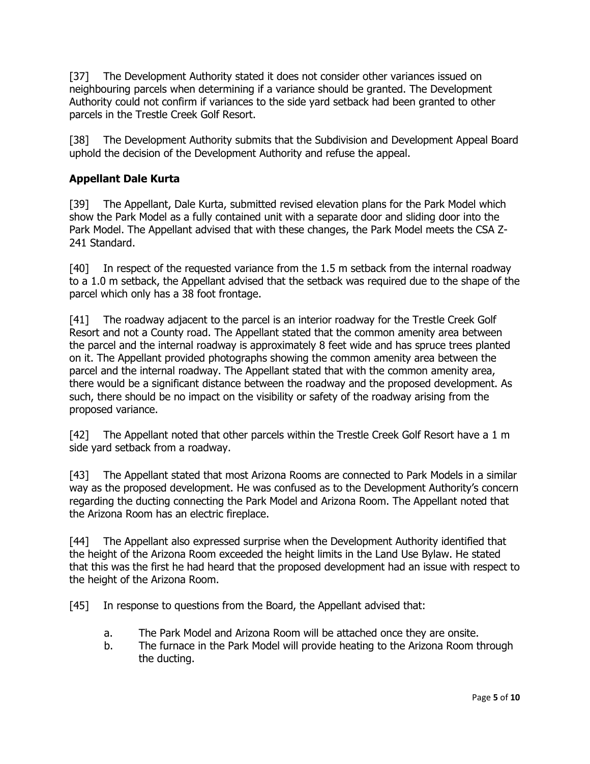[37] The Development Authority stated it does not consider other variances issued on neighbouring parcels when determining if a variance should be granted. The Development Authority could not confirm if variances to the side yard setback had been granted to other parcels in the Trestle Creek Golf Resort.

[38] The Development Authority submits that the Subdivision and Development Appeal Board uphold the decision of the Development Authority and refuse the appeal.

# **Appellant Dale Kurta**

[39] The Appellant, Dale Kurta, submitted revised elevation plans for the Park Model which show the Park Model as a fully contained unit with a separate door and sliding door into the Park Model. The Appellant advised that with these changes, the Park Model meets the CSA Z-241 Standard.

[40] In respect of the requested variance from the 1.5 m setback from the internal roadway to a 1.0 m setback, the Appellant advised that the setback was required due to the shape of the parcel which only has a 38 foot frontage.

[41] The roadway adjacent to the parcel is an interior roadway for the Trestle Creek Golf Resort and not a County road. The Appellant stated that the common amenity area between the parcel and the internal roadway is approximately 8 feet wide and has spruce trees planted on it. The Appellant provided photographs showing the common amenity area between the parcel and the internal roadway. The Appellant stated that with the common amenity area, there would be a significant distance between the roadway and the proposed development. As such, there should be no impact on the visibility or safety of the roadway arising from the proposed variance.

[42] The Appellant noted that other parcels within the Trestle Creek Golf Resort have a 1 m side yard setback from a roadway.

[43] The Appellant stated that most Arizona Rooms are connected to Park Models in a similar way as the proposed development. He was confused as to the Development Authority's concern regarding the ducting connecting the Park Model and Arizona Room. The Appellant noted that the Arizona Room has an electric fireplace.

[44] The Appellant also expressed surprise when the Development Authority identified that the height of the Arizona Room exceeded the height limits in the Land Use Bylaw. He stated that this was the first he had heard that the proposed development had an issue with respect to the height of the Arizona Room.

[45] In response to questions from the Board, the Appellant advised that:

- a. The Park Model and Arizona Room will be attached once they are onsite.
- b. The furnace in the Park Model will provide heating to the Arizona Room through the ducting.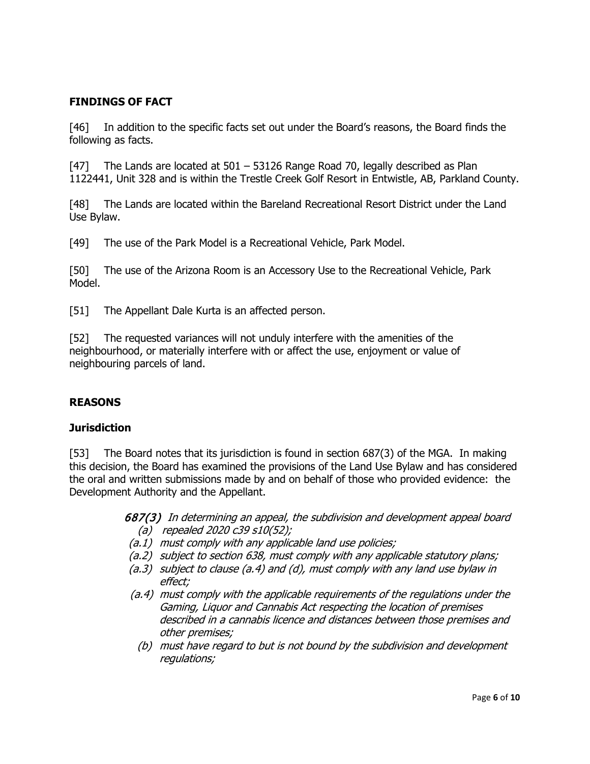## **FINDINGS OF FACT**

[46] In addition to the specific facts set out under the Board's reasons, the Board finds the following as facts.

[47] The Lands are located at 501 – 53126 Range Road 70, legally described as Plan 1122441, Unit 328 and is within the Trestle Creek Golf Resort in Entwistle, AB, Parkland County.

[48] The Lands are located within the Bareland Recreational Resort District under the Land Use Bylaw.

[49] The use of the Park Model is a Recreational Vehicle, Park Model.

[50] The use of the Arizona Room is an Accessory Use to the Recreational Vehicle, Park Model.

[51] The Appellant Dale Kurta is an affected person.

[52] The requested variances will not unduly interfere with the amenities of the neighbourhood, or materially interfere with or affect the use, enjoyment or value of neighbouring parcels of land.

#### **REASONS**

#### **Jurisdiction**

[53] The Board notes that its jurisdiction is found in section 687(3) of the MGA. In making this decision, the Board has examined the provisions of the Land Use Bylaw and has considered the oral and written submissions made by and on behalf of those who provided evidence: the Development Authority and the Appellant.

> 687(3) In determining an appeal, the subdivision and development appeal board (a) repealed 2020 c39 s10(52);

- (a.1) must comply with any applicable land use policies;
- (a.2) subject to section 638, must comply with any applicable statutory plans;
- (a.3) subject to clause (a.4) and (d), must comply with any land use bylaw in effect;
- (a.4) must comply with the applicable requirements of the regulations under the Gaming, Liquor and Cannabis Act respecting the location of premises described in a cannabis licence and distances between those premises and other premises;
	- (b) must have regard to but is not bound by the subdivision and development regulations;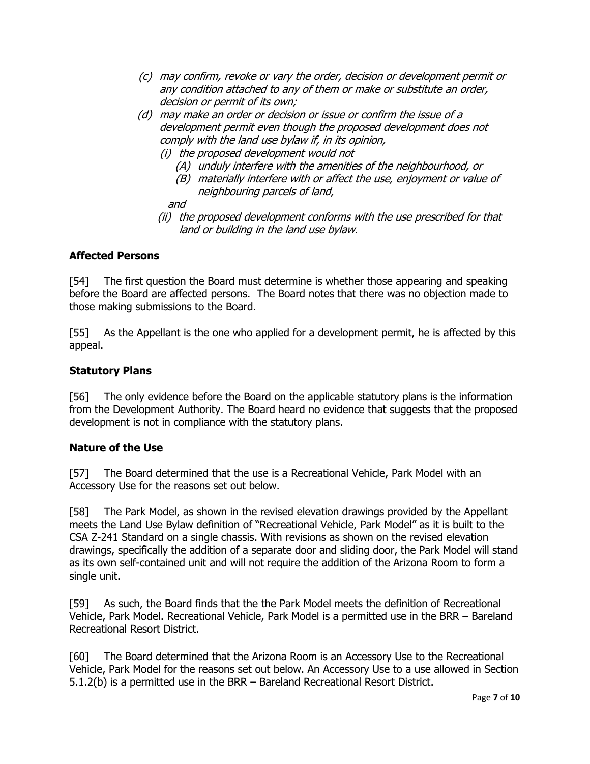- (c) may confirm, revoke or vary the order, decision or development permit or any condition attached to any of them or make or substitute an order, decision or permit of its own;
- (d) may make an order or decision or issue or confirm the issue of a development permit even though the proposed development does not comply with the land use bylaw if, in its opinion,
	- (i) the proposed development would not
		- (A) unduly interfere with the amenities of the neighbourhood, or
		- (B) materially interfere with or affect the use, enjoyment or value of neighbouring parcels of land,

and

(ii) the proposed development conforms with the use prescribed for that land or building in the land use bylaw.

### **Affected Persons**

[54] The first question the Board must determine is whether those appearing and speaking before the Board are affected persons. The Board notes that there was no objection made to those making submissions to the Board.

[55] As the Appellant is the one who applied for a development permit, he is affected by this appeal.

### **Statutory Plans**

[56] The only evidence before the Board on the applicable statutory plans is the information from the Development Authority. The Board heard no evidence that suggests that the proposed development is not in compliance with the statutory plans.

#### **Nature of the Use**

[57] The Board determined that the use is a Recreational Vehicle, Park Model with an Accessory Use for the reasons set out below.

[58] The Park Model, as shown in the revised elevation drawings provided by the Appellant meets the Land Use Bylaw definition of "Recreational Vehicle, Park Model" as it is built to the CSA Z-241 Standard on a single chassis. With revisions as shown on the revised elevation drawings, specifically the addition of a separate door and sliding door, the Park Model will stand as its own self-contained unit and will not require the addition of the Arizona Room to form a single unit.

[59] As such, the Board finds that the the Park Model meets the definition of Recreational Vehicle, Park Model. Recreational Vehicle, Park Model is a permitted use in the BRR – Bareland Recreational Resort District.

[60] The Board determined that the Arizona Room is an Accessory Use to the Recreational Vehicle, Park Model for the reasons set out below. An Accessory Use to a use allowed in Section 5.1.2(b) is a permitted use in the BRR – Bareland Recreational Resort District.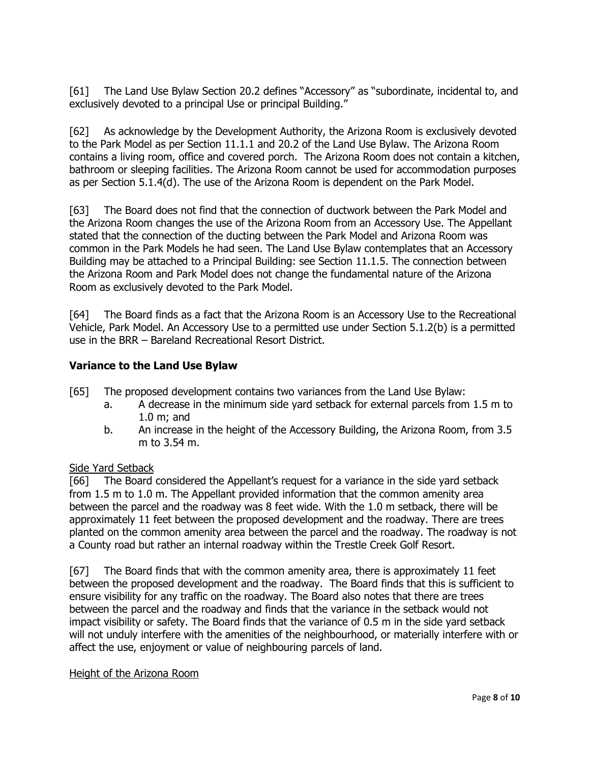[61] The Land Use Bylaw Section 20.2 defines "Accessory" as "subordinate, incidental to, and exclusively devoted to a principal Use or principal Building."

[62] As acknowledge by the Development Authority, the Arizona Room is exclusively devoted to the Park Model as per Section 11.1.1 and 20.2 of the Land Use Bylaw. The Arizona Room contains a living room, office and covered porch. The Arizona Room does not contain a kitchen, bathroom or sleeping facilities. The Arizona Room cannot be used for accommodation purposes as per Section 5.1.4(d). The use of the Arizona Room is dependent on the Park Model.

[63] The Board does not find that the connection of ductwork between the Park Model and the Arizona Room changes the use of the Arizona Room from an Accessory Use. The Appellant stated that the connection of the ducting between the Park Model and Arizona Room was common in the Park Models he had seen. The Land Use Bylaw contemplates that an Accessory Building may be attached to a Principal Building: see Section 11.1.5. The connection between the Arizona Room and Park Model does not change the fundamental nature of the Arizona Room as exclusively devoted to the Park Model.

[64] The Board finds as a fact that the Arizona Room is an Accessory Use to the Recreational Vehicle, Park Model. An Accessory Use to a permitted use under Section 5.1.2(b) is a permitted use in the BRR – Bareland Recreational Resort District.

## **Variance to the Land Use Bylaw**

- [65] The proposed development contains two variances from the Land Use Bylaw:
	- a. A decrease in the minimum side yard setback for external parcels from 1.5 m to 1.0 m; and
	- b. An increase in the height of the Accessory Building, the Arizona Room, from 3.5 m to 3.54 m.

#### Side Yard Setback

[66] The Board considered the Appellant's request for a variance in the side yard setback from 1.5 m to 1.0 m. The Appellant provided information that the common amenity area between the parcel and the roadway was 8 feet wide. With the 1.0 m setback, there will be approximately 11 feet between the proposed development and the roadway. There are trees planted on the common amenity area between the parcel and the roadway. The roadway is not a County road but rather an internal roadway within the Trestle Creek Golf Resort.

[67] The Board finds that with the common amenity area, there is approximately 11 feet between the proposed development and the roadway. The Board finds that this is sufficient to ensure visibility for any traffic on the roadway. The Board also notes that there are trees between the parcel and the roadway and finds that the variance in the setback would not impact visibility or safety. The Board finds that the variance of 0.5 m in the side yard setback will not unduly interfere with the amenities of the neighbourhood, or materially interfere with or affect the use, enjoyment or value of neighbouring parcels of land.

#### Height of the Arizona Room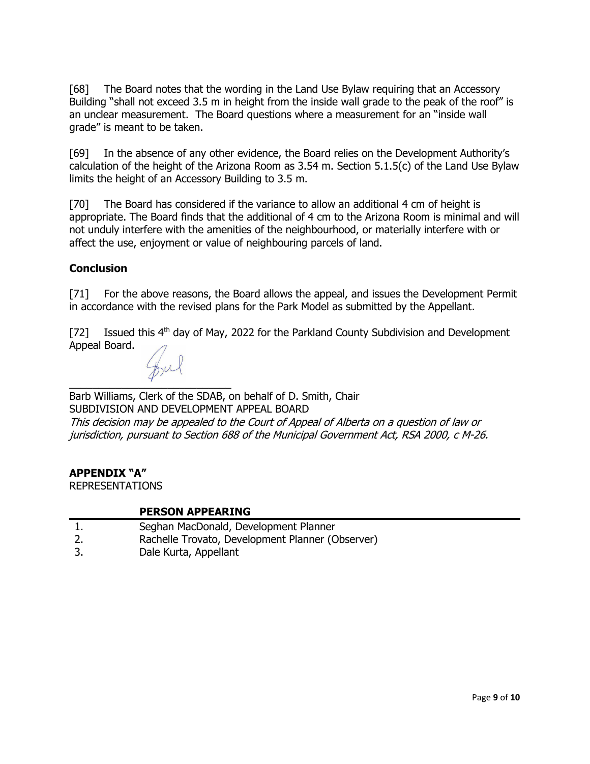[68] The Board notes that the wording in the Land Use Bylaw requiring that an Accessory Building "shall not exceed 3.5 m in height from the inside wall grade to the peak of the roof" is an unclear measurement. The Board questions where a measurement for an "inside wall grade" is meant to be taken.

[69] In the absence of any other evidence, the Board relies on the Development Authority's calculation of the height of the Arizona Room as 3.54 m. Section 5.1.5(c) of the Land Use Bylaw limits the height of an Accessory Building to 3.5 m.

[70] The Board has considered if the variance to allow an additional 4 cm of height is appropriate. The Board finds that the additional of 4 cm to the Arizona Room is minimal and will not unduly interfere with the amenities of the neighbourhood, or materially interfere with or affect the use, enjoyment or value of neighbouring parcels of land.

### **Conclusion**

[71] For the above reasons, the Board allows the appeal, and issues the Development Permit in accordance with the revised plans for the Park Model as submitted by the Appellant.

[72] Issued this  $4<sup>th</sup>$  day of May, 2022 for the Parkland County Subdivision and Development Appeal Board.

 $\mathcal{L}$  , we can also the contribution of  $\mathcal{L}$ Barb Williams, Clerk of the SDAB, on behalf of D. Smith, Chair SUBDIVISION AND DEVELOPMENT APPEAL BOARD This decision may be appealed to the Court of Appeal of Alberta on a question of law or jurisdiction, pursuant to Section 688 of the Municipal Government Act, RSA 2000, c M-26.

#### **APPENDIX "A"**

REPRESENTATIONS

#### **PERSON APPEARING**

- 1. Seghan MacDonald, Development Planner
- 2. Rachelle Trovato, Development Planner (Observer)
- 3. Dale Kurta, Appellant